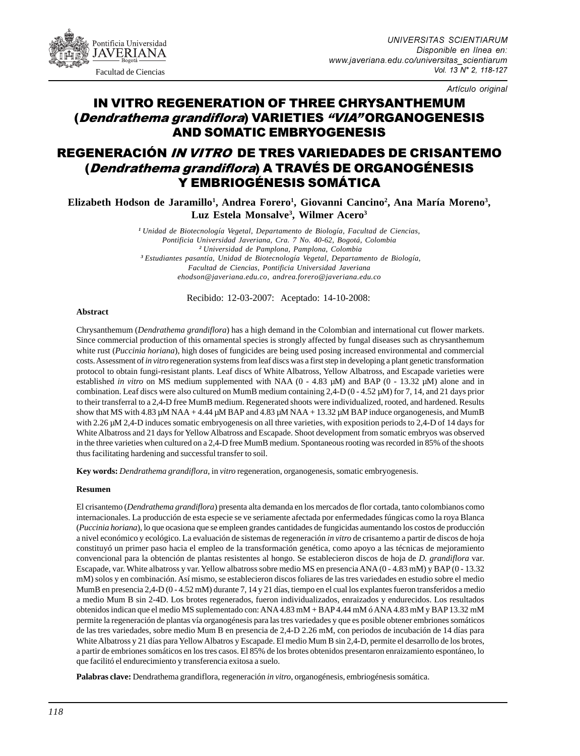

Artículo original

# IN VITRO REGENERATION OF THREE CHRYSANTHEMUM (Dendrathema grandiflora) VARIETIES "VIA" ORGANOGENESIS AND SOMATIC EMBRYOGENESIS

## REGENERACIÓN IN VITRO DE TRES VARIEDADES DE CRISANTEMO (Dendrathema grandiflora) A TRAVÉS DE ORGANOGÉNESIS Y EMBRIOGÉNESIS SOMÁTICA

Elizabeth Hodson de Jaramillo<sup>1</sup>, Andrea Forero<sup>1</sup>, Giovanni Cancino<sup>2</sup>, Ana María Moreno<sup>3</sup>, **Luz Estela Monsalve3 , Wilmer Acero3**

> *<sup>1</sup>Unidad de Biotecnología Vegetal, Departamento de Biología, Facultad de Ciencias, Pontificia Universidad Javeriana, Cra. 7 No. 40-62, Bogotá, Colombia <sup>2</sup>Universidad de Pamplona, Pamplona, Colombia <sup>3</sup>Estudiantes pasantía, Unidad de Biotecnología Vegetal, Departamento de Biología, Facultad de Ciencias, Pontificia Universidad Javeriana ehodson@javeriana.edu.co, andrea.forero@javeriana.edu.co*

> > Recibido: 12-03-2007: Aceptado: 14-10-2008:

#### **Abstract**

Chrysanthemum (*Dendrathema grandiflora*) has a high demand in the Colombian and international cut flower markets. Since commercial production of this ornamental species is strongly affected by fungal diseases such as chrysanthemum white rust (*Puccinia horiana*), high doses of fungicides are being used posing increased environmental and commercial costs. Assessment of *in vitro* regeneration systems from leaf discs was a first step in developing a plant genetic transformation protocol to obtain fungi-resistant plants. Leaf discs of White Albatross, Yellow Albatross, and Escapade varieties were established *in vitro* on MS medium supplemented with NAA (0 - 4.83 µM) and BAP (0 - 13.32 µM) alone and in combination. Leaf discs were also cultured on MumB medium containing 2,4-D (0 - 4.52 µM) for 7, 14, and 21 days prior to their transferral to a 2,4-D free MumB medium. Regenerated shoots were individualized, rooted, and hardened. Results show that MS with 4.83 µM NAA + 4.44 µM BAP and 4.83 µM NAA + 13.32 µM BAP induce organogenesis, and MumB with 2.26  $\mu$ M 2,4-D induces somatic embryogenesis on all three varieties, with exposition periods to 2,4-D of 14 days for White Albatross and 21 days for Yellow Albatross and Escapade. Shoot development from somatic embryos was observed in the three varieties when cultured on a 2,4-D free MumB medium. Spontaneous rooting was recorded in 85% of the shoots thus facilitating hardening and successful transfer to soil.

**Key words:** *Dendrathema grandiflora*, in *vitro* regeneration, organogenesis, somatic embryogenesis.

#### **Resumen**

El crisantemo (*Dendrathema grandiflora*) presenta alta demanda en los mercados de flor cortada, tanto colombianos como internacionales. La producción de esta especie se ve seriamente afectada por enfermedades fúngicas como la roya Blanca (*Puccinia horiana*), lo que ocasiona que se empleen grandes cantidades de fungicidas aumentando los costos de producción a nivel económico y ecológico. La evaluación de sistemas de regeneración *in vitro* de crisantemo a partir de discos de hoja constituyó un primer paso hacia el empleo de la transformación genética, como apoyo a las técnicas de mejoramiento convencional para la obtención de plantas resistentes al hongo. Se establecieron discos de hoja de *D. grandiflora* var. Escapade, var. White albatross y var. Yellow albatross sobre medio MS en presencia ANA (0 - 4.83 mM) y BAP (0 - 13.32 mM) solos y en combinación. Así mismo, se establecieron discos foliares de las tres variedades en estudio sobre el medio MumB en presencia 2,4-D (0 - 4.52 mM) durante 7, 14 y 21 días, tiempo en el cual los explantes fueron transferidos a medio a medio Mum B sin 2-4D. Los brotes regenerados, fueron individualizados, enraizados y endurecidos. Los resultados obtenidos indican que el medio MS suplementado con: ANA 4.83 mM + BAP 4.44 mM ó ANA 4.83 mM y BAP 13.32 mM permite la regeneración de plantas vía organogénesis para las tres variedades y que es posible obtener embriones somáticos de las tres variedades, sobre medio Mum B en presencia de 2,4-D 2.26 mM, con periodos de incubación de 14 días para White Albatross y 21 días para Yellow Albatros y Escapade. El medio Mum B sin 2,4-D, permite el desarrollo de los brotes, a partir de embriones somáticos en los tres casos. El 85% de los brotes obtenidos presentaron enraizamiento espontáneo, lo que facilitó el endurecimiento y transferencia exitosa a suelo.

**Palabras clave:** Dendrathema grandiflora, regeneración *in vitro*, organogénesis, embriogénesis somática.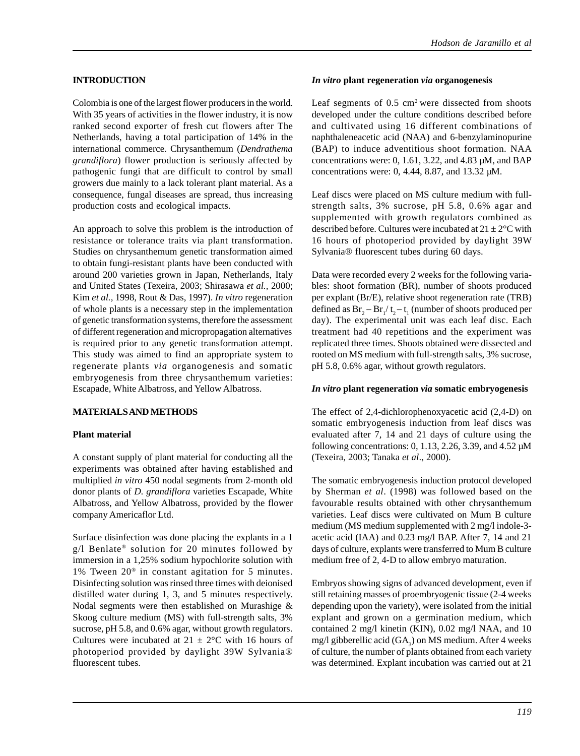#### **INTRODUCTION**

Colombia is one of the largest flower producers in the world. With 35 years of activities in the flower industry, it is now ranked second exporter of fresh cut flowers after The Netherlands, having a total participation of 14% in the international commerce. Chrysanthemum (*Dendrathema grandiflora*) flower production is seriously affected by pathogenic fungi that are difficult to control by small growers due mainly to a lack tolerant plant material. As a consequence, fungal diseases are spread, thus increasing production costs and ecological impacts.

An approach to solve this problem is the introduction of resistance or tolerance traits via plant transformation. Studies on chrysanthemum genetic transformation aimed to obtain fungi-resistant plants have been conducted with around 200 varieties grown in Japan, Netherlands, Italy and United States (Texeira, 2003; Shirasawa *et al.,* 2000; Kim *et al.,* 1998, Rout & Das, 1997). *In vitro* regeneration of whole plants is a necessary step in the implementation of genetic transformation systems, therefore the assessment of different regeneration and micropropagation alternatives is required prior to any genetic transformation attempt. This study was aimed to find an appropriate system to regenerate plants *via* organogenesis and somatic embryogenesis from three chrysanthemum varieties: Escapade, White Albatross, and Yellow Albatross.

#### **MATERIALS AND METHODS**

#### **Plant material**

A constant supply of plant material for conducting all the experiments was obtained after having established and multiplied *in vitro* 450 nodal segments from 2-month old donor plants of *D. grandiflora* varieties Escapade, White Albatross, and Yellow Albatross, provided by the flower company Americaflor Ltd.

Surface disinfection was done placing the explants in a 1 g/l Benlate® solution for 20 minutes followed by immersion in a 1,25% sodium hypochlorite solution with 1% Tween 20® in constant agitation for 5 minutes. Disinfecting solution was rinsed three times with deionised distilled water during 1, 3, and 5 minutes respectively. Nodal segments were then established on Murashige & Skoog culture medium (MS) with full-strength salts, 3% sucrose, pH 5.8, and 0.6% agar, without growth regulators. Cultures were incubated at  $21 \pm 2$ °C with 16 hours of photoperiod provided by daylight 39W Sylvania® fluorescent tubes.

#### *In vitro* **plant regeneration** *via* **organogenesis**

Leaf segments of  $0.5 \text{ cm}^2$  were dissected from shoots developed under the culture conditions described before and cultivated using 16 different combinations of naphthaleneacetic acid (NAA) and 6-benzylaminopurine (BAP) to induce adventitious shoot formation. NAA concentrations were: 0, 1.61, 3.22, and 4.83 µM, and BAP concentrations were: 0, 4.44, 8.87, and 13.32 µM.

Leaf discs were placed on MS culture medium with fullstrength salts, 3% sucrose, pH 5.8, 0.6% agar and supplemented with growth regulators combined as described before. Cultures were incubated at  $21 \pm 2$ °C with 16 hours of photoperiod provided by daylight 39W Sylvania® fluorescent tubes during 60 days.

Data were recorded every 2 weeks for the following variables: shoot formation (BR), number of shoots produced per explant (Br/E), relative shoot regeneration rate (TRB) defined as  $\text{Br}_2 - \text{Br}_1/\text{t}_2 - \text{t}_1$  (number of shoots produced per day). The experimental unit was each leaf disc. Each treatment had 40 repetitions and the experiment was replicated three times. Shoots obtained were dissected and rooted on MS medium with full-strength salts, 3% sucrose, pH 5.8, 0.6% agar, without growth regulators.

#### *In vitro* **plant regeneration** *via* **somatic embryogenesis**

The effect of 2,4-dichlorophenoxyacetic acid (2,4-D) on somatic embryogenesis induction from leaf discs was evaluated after 7, 14 and 21 days of culture using the following concentrations: 0, 1.13, 2.26, 3.39, and 4.52 µM (Texeira, 2003; Tanaka *et al*., 2000).

The somatic embryogenesis induction protocol developed by Sherman *et al*. (1998) was followed based on the favourable results obtained with other chrysanthemum varieties. Leaf discs were cultivated on Mum B culture medium (MS medium supplemented with 2 mg/l indole-3 acetic acid (IAA) and 0.23 mg/l BAP. After 7, 14 and 21 days of culture, explants were transferred to Mum B culture medium free of 2, 4-D to allow embryo maturation.

Embryos showing signs of advanced development, even if still retaining masses of proembryogenic tissue (2-4 weeks depending upon the variety), were isolated from the initial explant and grown on a germination medium, which contained 2 mg/l kinetin (KIN), 0.02 mg/l NAA, and 10 mg/l gibberellic acid ( $GA_3$ ) on MS medium. After 4 weeks of culture, the number of plants obtained from each variety was determined. Explant incubation was carried out at 21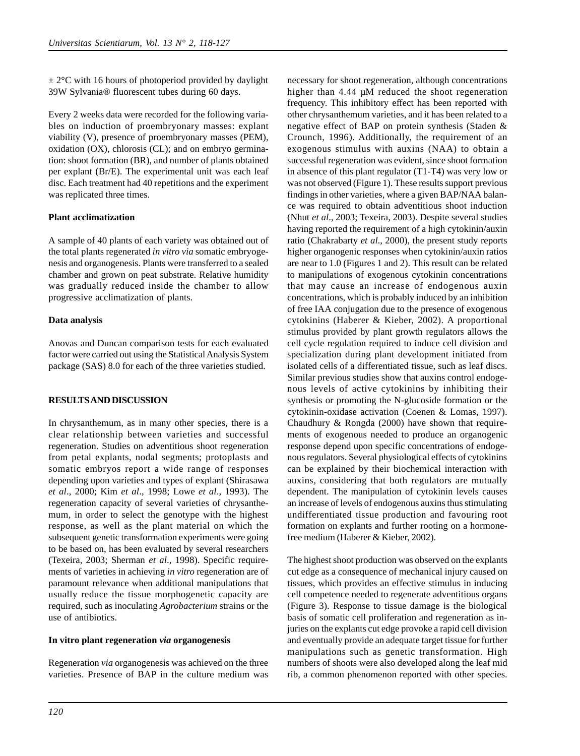$\pm 2^{\circ}$ C with 16 hours of photoperiod provided by daylight 39W Sylvania® fluorescent tubes during 60 days.

Every 2 weeks data were recorded for the following variables on induction of proembryonary masses: explant viability (V), presence of proembryonary masses (PEM), oxidation (OX), chlorosis (CL); and on embryo germination: shoot formation (BR), and number of plants obtained per explant (Br/E). The experimental unit was each leaf disc. Each treatment had 40 repetitions and the experiment was replicated three times.

### **Plant acclimatization**

A sample of 40 plants of each variety was obtained out of the total plants regenerated *in vitro via* somatic embryogenesis and organogenesis. Plants were transferred to a sealed chamber and grown on peat substrate. Relative humidity was gradually reduced inside the chamber to allow progressive acclimatization of plants.

### **Data analysis**

Anovas and Duncan comparison tests for each evaluated factor were carried out using the Statistical Analysis System package (SAS) 8.0 for each of the three varieties studied.

## **RESULTS AND DISCUSSION**

In chrysanthemum, as in many other species, there is a clear relationship between varieties and successful regeneration. Studies on adventitious shoot regeneration from petal explants, nodal segments; protoplasts and somatic embryos report a wide range of responses depending upon varieties and types of explant (Shirasawa *et al*., 2000; Kim *et al*., 1998; Lowe *et al*., 1993). The regeneration capacity of several varieties of chrysanthemum, in order to select the genotype with the highest response, as well as the plant material on which the subsequent genetic transformation experiments were going to be based on, has been evaluated by several researchers (Texeira, 2003; Sherman *et al*., 1998). Specific requirements of varieties in achieving *in vitro* regeneration are of paramount relevance when additional manipulations that usually reduce the tissue morphogenetic capacity are required, such as inoculating *Agrobacterium* strains or the use of antibiotics.

#### **In vitro plant regeneration** *via* **organogenesis**

Regeneration *via* organogenesis was achieved on the three varieties. Presence of BAP in the culture medium was necessary for shoot regeneration, although concentrations higher than 4.44 µM reduced the shoot regeneration frequency. This inhibitory effect has been reported with other chrysanthemum varieties, and it has been related to a negative effect of BAP on protein synthesis (Staden & Crounch, 1996). Additionally, the requirement of an exogenous stimulus with auxins (NAA) to obtain a successful regeneration was evident, since shoot formation in absence of this plant regulator (T1-T4) was very low or was not observed (Figure 1). These results support previous findings in other varieties, where a given BAP/NAA balance was required to obtain adventitious shoot induction (Nhut *et al*., 2003; Texeira, 2003). Despite several studies having reported the requirement of a high cytokinin/auxin ratio (Chakrabarty *et al*., 2000), the present study reports higher organogenic responses when cytokinin/auxin ratios are near to 1.0 (Figures 1 and 2). This result can be related to manipulations of exogenous cytokinin concentrations that may cause an increase of endogenous auxin concentrations, which is probably induced by an inhibition of free IAA conjugation due to the presence of exogenous cytokinins (Haberer & Kieber, 2002). A proportional stimulus provided by plant growth regulators allows the cell cycle regulation required to induce cell division and specialization during plant development initiated from isolated cells of a differentiated tissue, such as leaf discs. Similar previous studies show that auxins control endogenous levels of active cytokinins by inhibiting their synthesis or promoting the N-glucoside formation or the cytokinin-oxidase activation (Coenen & Lomas, 1997). Chaudhury & Rongda (2000) have shown that requirements of exogenous needed to produce an organogenic response depend upon specific concentrations of endogenous regulators. Several physiological effects of cytokinins can be explained by their biochemical interaction with auxins, considering that both regulators are mutually dependent. The manipulation of cytokinin levels causes an increase of levels of endogenous auxins thus stimulating undifferentiated tissue production and favouring root formation on explants and further rooting on a hormonefree medium (Haberer & Kieber, 2002).

The highest shoot production was observed on the explants cut edge as a consequence of mechanical injury caused on tissues, which provides an effective stimulus in inducing cell competence needed to regenerate adventitious organs (Figure 3). Response to tissue damage is the biological basis of somatic cell proliferation and regeneration as injuries on the explants cut edge provoke a rapid cell division and eventually provide an adequate target tissue for further manipulations such as genetic transformation. High numbers of shoots were also developed along the leaf mid rib, a common phenomenon reported with other species.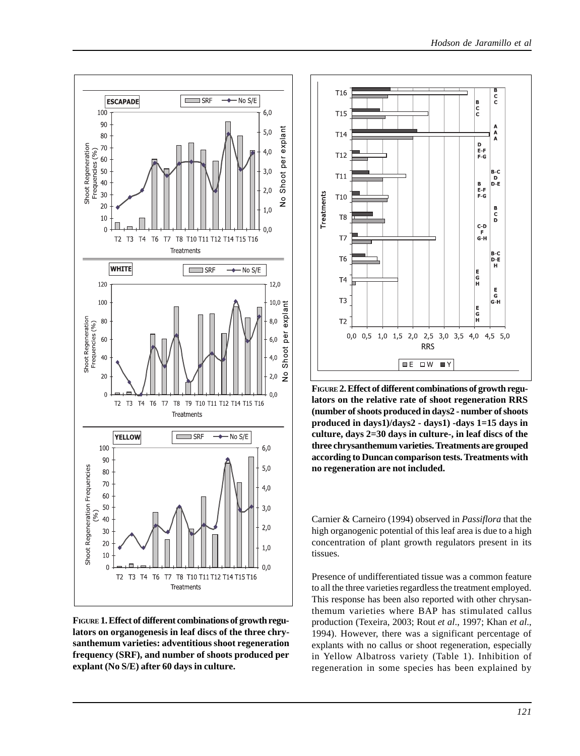

**FIGURE 1. Effect of different combinations of growth regulators on organogenesis in leaf discs of the three chrysanthemum varieties: adventitious shoot regeneration frequency (SRF), and number of shoots produced per explant (No S/E) after 60 days in culture.**



**FIGURE 2. Effect of different combinations of growth regulators on the relative rate of shoot regeneration RRS (number of shoots produced in days2 - number of shoots produced in days1)/days2 - days1) -days 1=15 days in culture, days 2=30 days in culture-, in leaf discs of the three chrysanthemum varieties. Treatments are grouped according to Duncan comparison tests. Treatments with no regeneration are not included.**

Carnier & Carneiro (1994) observed in *Passiflora* that the high organogenic potential of this leaf area is due to a high concentration of plant growth regulators present in its tissues.

Presence of undifferentiated tissue was a common feature to all the three varieties regardless the treatment employed. This response has been also reported with other chrysanthemum varieties where BAP has stimulated callus production (Texeira, 2003; Rout *et al*., 1997; Khan *et al*., 1994). However, there was a significant percentage of explants with no callus or shoot regeneration, especially in Yellow Albatross variety (Table 1). Inhibition of regeneration in some species has been explained by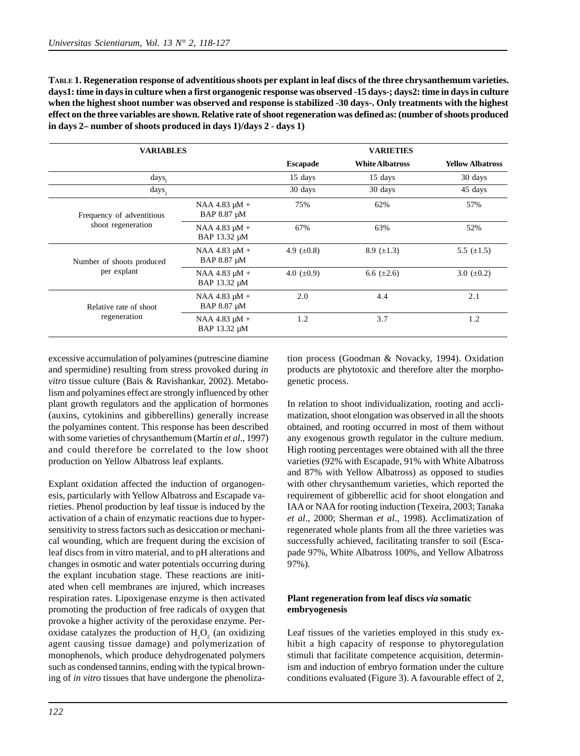**TABLE 1. Regeneration response of adventitious shoots per explant in leaf discs of the three chrysanthemum varieties. days1: time in days in culture when a first organogenic response was observed -15 days-; days2: time in days in culture when the highest shoot number was observed and response is stabilized -30 days-. Only treatments with the highest effect on the three variables are shown. Relative rate of shoot regeneration was defined as: (number of shoots produced in days 2– number of shoots produced in days 1)/days 2 - days 1)**

| <b>VARIABLES</b>                                |                                      | <b>VARIETIES</b> |                        |                         |
|-------------------------------------------------|--------------------------------------|------------------|------------------------|-------------------------|
|                                                 |                                      | <b>Escapade</b>  | <b>White Albatross</b> | <b>Yellow Albatross</b> |
| $\rm days$                                      |                                      | 15 days          | 15 days                | 30 days                 |
| $\text{days}_{2}$                               |                                      | 30 days          | 30 days                | 45 days                 |
| Frequency of adventitious<br>shoot regeneration | NAA 4.83 $\mu$ M +<br>BAP 8.87 µM    | 75%              | 62%                    | 57%                     |
|                                                 | $NAA$ 4.83 $\mu$ M +<br>BAP 13.32 µM | 67%              | 63%                    | 52%                     |
| Number of shoots produced<br>per explant        | NAA 4.83 $\mu$ M +<br>BAP 8.87 µM    | 4.9 $(\pm 0.8)$  | 8.9 $(\pm 1.3)$        | 5.5 $(\pm 1.5)$         |
|                                                 | NAA 4.83 $\mu$ M +<br>BAP 13.32 µM   | 4.0 $(\pm 0.9)$  | 6.6 $(\pm 2.6)$        | 3.0 $(\pm 0.2)$         |
| Relative rate of shoot<br>regeneration          | NAA 4.83 $\mu$ M +<br>BAP 8.87 µM    | 2.0              | 4.4                    | 2.1                     |
|                                                 | NAA 4.83 $\mu$ M +<br>BAP 13.32 µM   | 1.2              | 3.7                    | 1.2                     |

excessive accumulation of polyamines (putrescine diamine and spermidine) resulting from stress provoked during *in vitro* tissue culture (Bais & Ravishankar, 2002). Metabolism and polyamines effect are strongly influenced by other plant growth regulators and the application of hormones (auxins, cytokinins and gibberellins) generally increase the polyamines content. This response has been described with some varieties of chrysanthemum (Martín *et al*., 1997) and could therefore be correlated to the low shoot production on Yellow Albatross leaf explants.

Explant oxidation affected the induction of organogenesis, particularly with Yellow Albatross and Escapade varieties. Phenol production by leaf tissue is induced by the activation of a chain of enzymatic reactions due to hypersensitivity to stress factors such as desiccation or mechanical wounding, which are frequent during the excision of leaf discs from in vitro material, and to pH alterations and changes in osmotic and water potentials occurring during the explant incubation stage. These reactions are initiated when cell membranes are injured, which increases respiration rates. Lipoxigenase enzyme is then activated promoting the production of free radicals of oxygen that provoke a higher activity of the peroxidase enzyme. Peroxidase catalyzes the production of  $H_2O_2$  (an oxidizing agent causing tissue damage) and polymerization of monophenols, which produce dehydrogenated polymers such as condensed tannins, ending with the typical browning of *in vitro* tissues that have undergone the phenoliza-

tion process (Goodman & Novacky, 1994). Oxidation products are phytotoxic and therefore alter the morphogenetic process.

In relation to shoot individualization, rooting and acclimatization, shoot elongation was observed in all the shoots obtained, and rooting occurred in most of them without any exogenous growth regulator in the culture medium. High rooting percentages were obtained with all the three varieties (92% with Escapade, 91% with White Albatross and 87% with Yellow Albatross) as opposed to studies with other chrysanthemum varieties, which reported the requirement of gibberellic acid for shoot elongation and IAA or NAA for rooting induction (Texeira, 2003; Tanaka *et al*., 2000; Sherman *et al*., 1998). Acclimatization of regenerated whole plants from all the three varieties was successfully achieved, facilitating transfer to soil (Escapade 97%, White Albatross 100%, and Yellow Albatross 97%).

### **Plant regeneration from leaf discs** *via* **somatic embryogenesis**

Leaf tissues of the varieties employed in this study exhibit a high capacity of response to phytoregulation stimuli that facilitate competence acquisition, determinism and induction of embryo formation under the culture conditions evaluated (Figure 3). A favourable effect of 2,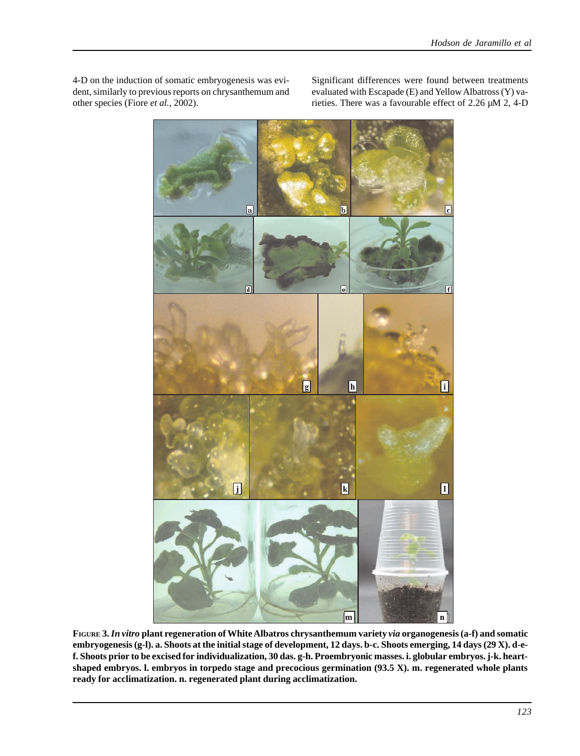4-D on the induction of somatic embryogenesis was evident, similarly to previous reports on chrysanthemum and other species (Fiore *et al.,* 2002).

Significant differences were found between treatments evaluated with Escapade (E) and Yellow Albatross (Y) varieties. There was a favourable effect of 2.26 µM 2, 4-D



**FIGURE 3.** *In vitro* **plant regeneration of White Albatros chrysanthemum variety** *via* **organogenesis (a-f) and somatic embryogenesis (g-l). a. Shoots at the initial stage of development, 12 days. b-c. Shoots emerging, 14 days (29 X). d-ef. Shoots prior to be excised for individualization, 30 das. g-h. Proembryonic masses. i. globular embryos. j-k. heartshaped embryos. l. embryos in torpedo stage and precocious germination (93.5 X). m. regenerated whole plants ready for acclimatization. n. regenerated plant during acclimatization.**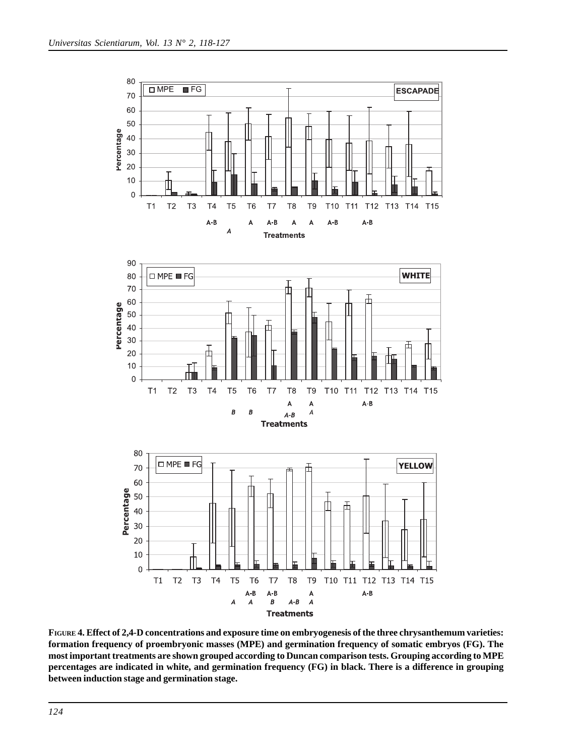

**FIGURE 4. Effect of 2,4-D concentrations and exposure time on embryogenesis of the three chrysanthemum varieties: formation frequency of proembryonic masses (MPE) and germination frequency of somatic embryos (FG). The most important treatments are shown grouped according to Duncan comparison tests. Grouping according to MPE percentages are indicated in white, and germination frequency (FG) in black. There is a difference in grouping between induction stage and germination stage.**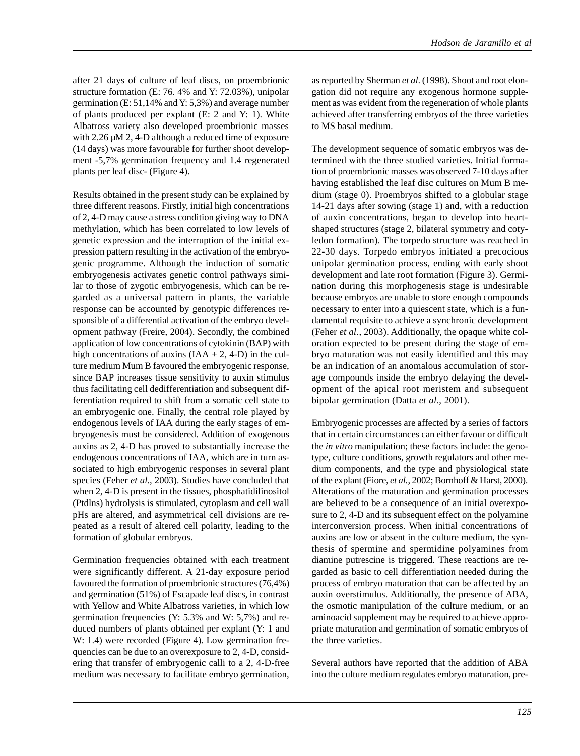after 21 days of culture of leaf discs, on proembrionic structure formation (E: 76. 4% and Y: 72.03%), unipolar germination (E: 51,14% and Y: 5,3%) and average number of plants produced per explant (E: 2 and Y: 1). White Albatross variety also developed proembrionic masses with 2.26  $\mu$ M 2, 4-D although a reduced time of exposure (14 days) was more favourable for further shoot development -5,7% germination frequency and 1.4 regenerated plants per leaf disc- (Figure 4).

Results obtained in the present study can be explained by three different reasons. Firstly, initial high concentrations of 2, 4-D may cause a stress condition giving way to DNA methylation, which has been correlated to low levels of genetic expression and the interruption of the initial expression pattern resulting in the activation of the embryogenic programme. Although the induction of somatic embryogenesis activates genetic control pathways similar to those of zygotic embryogenesis, which can be regarded as a universal pattern in plants, the variable response can be accounted by genotypic differences responsible of a differential activation of the embryo development pathway (Freire, 2004). Secondly, the combined application of low concentrations of cytokinin (BAP) with high concentrations of auxins  $(IAA + 2, 4-D)$  in the culture medium Mum B favoured the embryogenic response, since BAP increases tissue sensitivity to auxin stimulus thus facilitating cell dedifferentiation and subsequent differentiation required to shift from a somatic cell state to an embryogenic one. Finally, the central role played by endogenous levels of IAA during the early stages of embryogenesis must be considered. Addition of exogenous auxins as 2, 4-D has proved to substantially increase the endogenous concentrations of IAA, which are in turn associated to high embryogenic responses in several plant species (Feher *et al*., 2003). Studies have concluded that when 2, 4-D is present in the tissues, phosphatidilinositol (Ptdlns) hydrolysis is stimulated, cytoplasm and cell wall pHs are altered, and asymmetrical cell divisions are repeated as a result of altered cell polarity, leading to the formation of globular embryos.

Germination frequencies obtained with each treatment were significantly different. A 21-day exposure period favoured the formation of proembrionic structures (76,4%) and germination (51%) of Escapade leaf discs, in contrast with Yellow and White Albatross varieties, in which low germination frequencies (Y: 5.3% and W: 5,7%) and reduced numbers of plants obtained per explant (Y: 1 and W: 1.4) were recorded (Figure 4). Low germination frequencies can be due to an overexposure to 2, 4-D, considering that transfer of embryogenic calli to a 2, 4-D-free medium was necessary to facilitate embryo germination, as reported by Sherman *et al*. (1998). Shoot and root elongation did not require any exogenous hormone supplement as was evident from the regeneration of whole plants achieved after transferring embryos of the three varieties to MS basal medium.

The development sequence of somatic embryos was determined with the three studied varieties. Initial formation of proembrionic masses was observed 7-10 days after having established the leaf disc cultures on Mum B medium (stage 0). Proembryos shifted to a globular stage 14-21 days after sowing (stage 1) and, with a reduction of auxin concentrations, began to develop into heartshaped structures (stage 2, bilateral symmetry and cotyledon formation). The torpedo structure was reached in 22-30 days. Torpedo embryos initiated a precocious unipolar germination process, ending with early shoot development and late root formation (Figure 3). Germination during this morphogenesis stage is undesirable because embryos are unable to store enough compounds necessary to enter into a quiescent state, which is a fundamental requisite to achieve a synchronic development (Feher *et al*., 2003). Additionally, the opaque white coloration expected to be present during the stage of embryo maturation was not easily identified and this may be an indication of an anomalous accumulation of storage compounds inside the embryo delaying the development of the apical root meristem and subsequent bipolar germination (Datta *et al*., 2001).

Embryogenic processes are affected by a series of factors that in certain circumstances can either favour or difficult the *in vitro* manipulation; these factors include: the genotype, culture conditions, growth regulators and other medium components, and the type and physiological state of the explant (Fiore, *et al.*, 2002; Bornhoff & Harst, 2000). Alterations of the maturation and germination processes are believed to be a consequence of an initial overexposure to 2, 4-D and its subsequent effect on the polyamine interconversion process. When initial concentrations of auxins are low or absent in the culture medium, the synthesis of spermine and spermidine polyamines from diamine putrescine is triggered. These reactions are regarded as basic to cell differentiation needed during the process of embryo maturation that can be affected by an auxin overstimulus. Additionally, the presence of ABA, the osmotic manipulation of the culture medium, or an aminoacid supplement may be required to achieve appropriate maturation and germination of somatic embryos of the three varieties.

Several authors have reported that the addition of ABA into the culture medium regulates embryo maturation, pre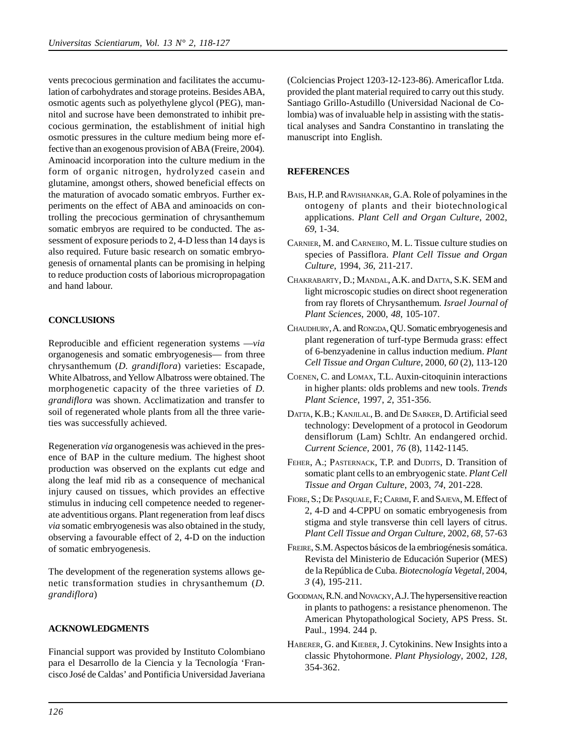vents precocious germination and facilitates the accumulation of carbohydrates and storage proteins. Besides ABA, osmotic agents such as polyethylene glycol (PEG), mannitol and sucrose have been demonstrated to inhibit precocious germination, the establishment of initial high osmotic pressures in the culture medium being more effective than an exogenous provision of ABA (Freire, 2004). Aminoacid incorporation into the culture medium in the form of organic nitrogen, hydrolyzed casein and glutamine, amongst others, showed beneficial effects on the maturation of avocado somatic embryos. Further experiments on the effect of ABA and aminoacids on controlling the precocious germination of chrysanthemum somatic embryos are required to be conducted. The assessment of exposure periods to 2, 4-D less than 14 days is also required. Future basic research on somatic embryogenesis of ornamental plants can be promising in helping to reduce production costs of laborious micropropagation and hand labour.

## **CONCLUSIONS**

Reproducible and efficient regeneration systems —*via* organogenesis and somatic embryogenesis— from three chrysanthemum (*D. grandiflora*) varieties: Escapade, White Albatross, and Yellow Albatross were obtained. The morphogenetic capacity of the three varieties of *D. grandiflora* was shown. Acclimatization and transfer to soil of regenerated whole plants from all the three varieties was successfully achieved.

Regeneration *via* organogenesis was achieved in the presence of BAP in the culture medium. The highest shoot production was observed on the explants cut edge and along the leaf mid rib as a consequence of mechanical injury caused on tissues, which provides an effective stimulus in inducing cell competence needed to regenerate adventitious organs. Plant regeneration from leaf discs *via* somatic embryogenesis was also obtained in the study, observing a favourable effect of 2, 4-D on the induction of somatic embryogenesis.

The development of the regeneration systems allows genetic transformation studies in chrysanthemum (*D. grandiflora*)

## **ACKNOWLEDGMENTS**

Financial support was provided by Instituto Colombiano para el Desarrollo de la Ciencia y la Tecnología 'Francisco José de Caldas' and Pontificia Universidad Javeriana

(Colciencias Project 1203-12-123-86). Americaflor Ltda. provided the plant material required to carry out this study. Santiago Grillo-Astudillo (Universidad Nacional de Colombia) was of invaluable help in assisting with the statistical analyses and Sandra Constantino in translating the manuscript into English.

## **REFERENCES**

- BAIS, H.P. and RAVISHANKAR, G.A. Role of polyamines in the ontogeny of plants and their biotechnological applications. *Plant Cell and Organ Culture*, 2002, *69*, 1-34.
- CARNIER, M. and CARNEIRO, M. L. Tissue culture studies on species of Passiflora. *Plant Cell Tissue and Organ Culture*, 1994, *36*, 211-217.
- CHAKRABARTY, D.; MANDAL, A.K. and DATTA, S.K. SEM and light microscopic studies on direct shoot regeneration from ray florets of Chrysanthemum*. Israel Journal of Plant Sciences*, 2000, *48*, 105-107.
- CHAUDHURY, A. and RONGDA, QU. Somatic embryogenesis and plant regeneration of turf-type Bermuda grass: effect of 6-benzyadenine in callus induction medium. *Plant Cell Tissue and Organ Culture*, 2000, *60* (2), 113-120
- COENEN, C. and LOMAX, T.L. Auxin-citoquinin interactions in higher plants: olds problems and new tools. *Trends Plant Science*, 1997, *2*, 351-356.
- DATTA, K.B.; KANJILAL, B. and DE SARKER, D. Artificial seed technology: Development of a protocol in Geodorum densiflorum (Lam) Schltr. An endangered orchid. *Current Science,* 2001, *76* (8), 1142-1145.
- FEHER, A.; PASTERNACK, T.P. and DUDITS, D. Transition of somatic plant cells to an embryogenic state. *Plant Cell Tissue and Organ Culture*, 2003, *74*, 201-228.
- FIORE, S.; DE PASQUALE, F.; CARIMI, F. and SAJEVA, M. Effect of 2, 4-D and 4-CPPU on somatic embryogenesis from stigma and style transverse thin cell layers of citrus. *Plant Cell Tissue and Organ Culture*, 2002, *68*, 57-63
- FREIRE, S.M. Aspectos básicos de la embriogénesis somática. Revista del Ministerio de Educación Superior (MES) de la República de Cuba. *Biotecnología Vegetal*, 2004, *3* (4), 195-211.
- GOODMAN, R.N. and NOVACKY, A.J. The hypersensitive reaction in plants to pathogens: a resistance phenomenon. The American Phytopathological Society, APS Press. St. Paul., 1994. 244 p.
- HABERER, G. and KIEBER, J. Cytokinins. New Insights into a classic Phytohormone. *Plant Physiology*, 2002, *128*, 354-362.